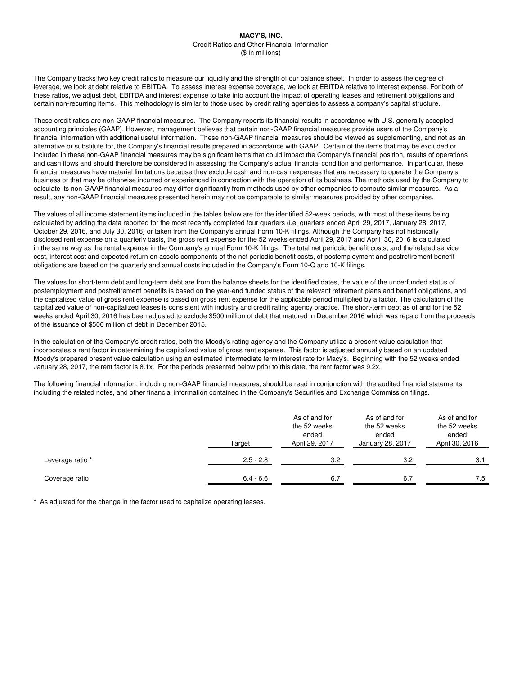The Company tracks two key credit ratios to measure our liquidity and the strength of our balance sheet. In order to assess the degree of leverage, we look at debt relative to EBITDA. To assess interest expense coverage, we look at EBITDA relative to interest expense. For both of these ratios, we adjust debt, EBITDA and interest expense to take into account the impact of operating leases and retirement obligations and certain non-recurring items. This methodology is similar to those used by credit rating agencies to assess a company's capital structure.

These credit ratios are non-GAAP financial measures. The Company reports its financial results in accordance with U.S. generally accepted accounting principles (GAAP). However, management believes that certain non-GAAP financial measures provide users of the Company's financial information with additional useful information. These non-GAAP financial measures should be viewed as supplementing, and not as an alternative or substitute for, the Company's financial results prepared in accordance with GAAP. Certain of the items that may be excluded or included in these non-GAAP financial measures may be significant items that could impact the Company's financial position, results of operations and cash flows and should therefore be considered in assessing the Company's actual financial condition and performance. In particular, these financial measures have material limitations because they exclude cash and non-cash expenses that are necessary to operate the Company's business or that may be otherwise incurred or experienced in connection with the operation of its business. The methods used by the Company to calculate its non-GAAP financial measures may differ significantly from methods used by other companies to compute similar measures. As a result, any non-GAAP financial measures presented herein may not be comparable to similar measures provided by other companies.

The values of all income statement items included in the tables below are for the identified 52-week periods, with most of these items being calculated by adding the data reported for the most recently completed four quarters (i.e. quarters ended April 29, 2017, January 28, 2017, October 29, 2016, and July 30, 2016) or taken from the Company's annual Form 10-K filings. Although the Company has not historically disclosed rent expense on a quarterly basis, the gross rent expense for the 52 weeks ended April 29, 2017 and April 30, 2016 is calculated in the same way as the rental expense in the Company's annual Form 10-K filings. The total net periodic benefit costs, and the related service cost, interest cost and expected return on assets components of the net periodic benefit costs, of postemployment and postretirement benefit obligations are based on the quarterly and annual costs included in the Company's Form 10-Q and 10-K filings.

The values for short-term debt and long-term debt are from the balance sheets for the identified dates, the value of the underfunded status of postemployment and postretirement benefits is based on the year-end funded status of the relevant retirement plans and benefit obligations, and the capitalized value of gross rent expense is based on gross rent expense for the applicable period multiplied by a factor. The calculation of the capitalized value of non-capitalized leases is consistent with industry and credit rating agency practice. The short-term debt as of and for the 52 weeks ended April 30, 2016 has been adjusted to exclude \$500 million of debt that matured in December 2016 which was repaid from the proceeds of the issuance of \$500 million of debt in December 2015.

In the calculation of the Company's credit ratios, both the Moody's rating agency and the Company utilize a present value calculation that incorporates a rent factor in determining the capitalized value of gross rent expense. This factor is adjusted annually based on an updated Moody's prepared present value calculation using an estimated intermediate term interest rate for Macy's. Beginning with the 52 weeks ended January 28, 2017, the rent factor is 8.1x. For the periods presented below prior to this date, the rent factor was 9.2x.

The following financial information, including non-GAAP financial measures, should be read in conjunction with the audited financial statements, including the related notes, and other financial information contained in the Company's Securities and Exchange Commission filings.

|                  | Target      | As of and for<br>the 52 weeks<br>ended<br>April 29, 2017 | As of and for<br>the 52 weeks<br>ended<br>January 28, 2017 | As of and for<br>the 52 weeks<br>ended<br>April 30, 2016 |
|------------------|-------------|----------------------------------------------------------|------------------------------------------------------------|----------------------------------------------------------|
| Leverage ratio * | $2.5 - 2.8$ | 3.2                                                      | 3.2                                                        | 3.1                                                      |
| Coverage ratio   | $6.4 - 6.6$ | 6.7                                                      | 6.7                                                        | 7.5                                                      |

\* As adjusted for the change in the factor used to capitalize operating leases.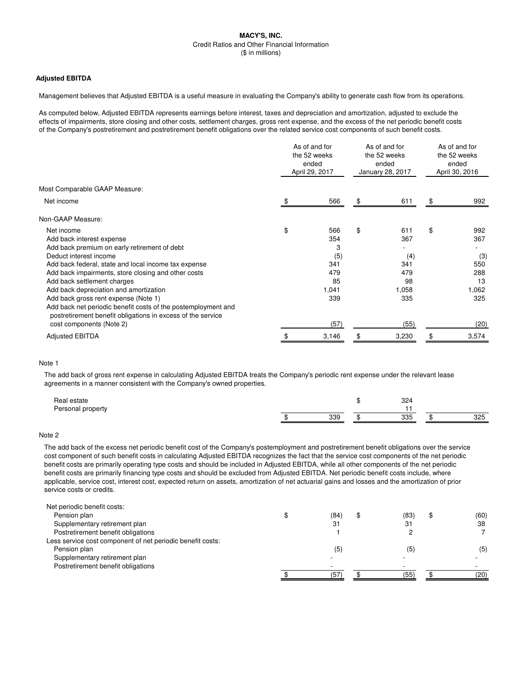#### **Adjusted EBITDA**

Management believes that Adjusted EBITDA is a useful measure in evaluating the Company's ability to generate cash flow from its operations.

As computed below, Adjusted EBITDA represents earnings before interest, taxes and depreciation and amortization, adjusted to exclude the effects of impairments, store closing and other costs, settlement charges, gross rent expense, and the excess of the net periodic benefit costs of the Company's postretirement and postretirement benefit obligations over the related service cost components of such benefit costs.

|                                                                                                                              | As of and for<br>the 52 weeks<br>ended<br>April 29, 2017 |       | As of and for<br>the 52 weeks<br>ended<br>January 28, 2017 |       | As of and for<br>the 52 weeks<br>ended<br>April 30, 2016 |       |
|------------------------------------------------------------------------------------------------------------------------------|----------------------------------------------------------|-------|------------------------------------------------------------|-------|----------------------------------------------------------|-------|
| Most Comparable GAAP Measure:                                                                                                |                                                          |       |                                                            |       |                                                          |       |
| Net income                                                                                                                   | \$                                                       | 566   | \$                                                         | 611   | \$                                                       | 992   |
| Non-GAAP Measure:                                                                                                            |                                                          |       |                                                            |       |                                                          |       |
| Net income                                                                                                                   | \$                                                       | 566   | \$                                                         | 611   | \$                                                       | 992   |
| Add back interest expense                                                                                                    |                                                          | 354   |                                                            | 367   |                                                          | 367   |
| Add back premium on early retirement of debt                                                                                 |                                                          | 3     |                                                            |       |                                                          |       |
| Deduct interest income                                                                                                       |                                                          | (5)   |                                                            | (4)   |                                                          | (3)   |
| Add back federal, state and local income tax expense                                                                         |                                                          | 341   |                                                            | 341   |                                                          | 550   |
| Add back impairments, store closing and other costs                                                                          |                                                          | 479   |                                                            | 479   |                                                          | 288   |
| Add back settlement charges                                                                                                  |                                                          | 85    |                                                            | 98    |                                                          | 13    |
| Add back depreciation and amortization                                                                                       |                                                          | 1,041 |                                                            | 1,058 |                                                          | 1,062 |
| Add back gross rent expense (Note 1)                                                                                         |                                                          | 339   |                                                            | 335   |                                                          | 325   |
| Add back net periodic benefit costs of the postemployment and<br>postretirement benefit obligations in excess of the service |                                                          |       |                                                            |       |                                                          |       |
| cost components (Note 2)                                                                                                     |                                                          | (57)  |                                                            | (55)  |                                                          | (20)  |
| <b>Adjusted EBITDA</b>                                                                                                       |                                                          | 3,146 |                                                            | 3,230 |                                                          | 3,574 |
|                                                                                                                              |                                                          |       |                                                            |       |                                                          |       |

#### Note 1

The add back of gross rent expense in calculating Adjusted EBITDA treats the Company's periodic rent expense under the relevant lease agreements in a manner consistent with the Company's owned properties.

| Real estate<br>Personal property |     | 324        |     |
|----------------------------------|-----|------------|-----|
|                                  | 339 | つつに<br>ບບບ | 325 |

# Note 2

The add back of the excess net periodic benefit cost of the Company's postemployment and postretirement benefit obligations over the service cost component of such benefit costs in calculating Adjusted EBITDA recognizes the fact that the service cost components of the net periodic benefit costs are primarily operating type costs and should be included in Adjusted EBITDA, while all other components of the net periodic benefit costs are primarily financing type costs and should be excluded from Adjusted EBITDA. Net periodic benefit costs include, where applicable, service cost, interest cost, expected return on assets, amortization of net actuarial gains and losses and the amortization of prior service costs or credits.

| Net periodic benefit costs:                                |      |      |      |
|------------------------------------------------------------|------|------|------|
| Pension plan                                               | (84) | (83) | (60) |
| Supplementary retirement plan                              | 31   | 31   | 38   |
| Postretirement benefit obligations                         |      |      |      |
| Less service cost component of net periodic benefit costs: |      |      |      |
| Pension plan                                               | (5)  | (5)  | (5)  |
| Supplementary retirement plan                              |      |      |      |
| Postretirement benefit obligations                         |      |      |      |
|                                                            | (57  | (55' | (20) |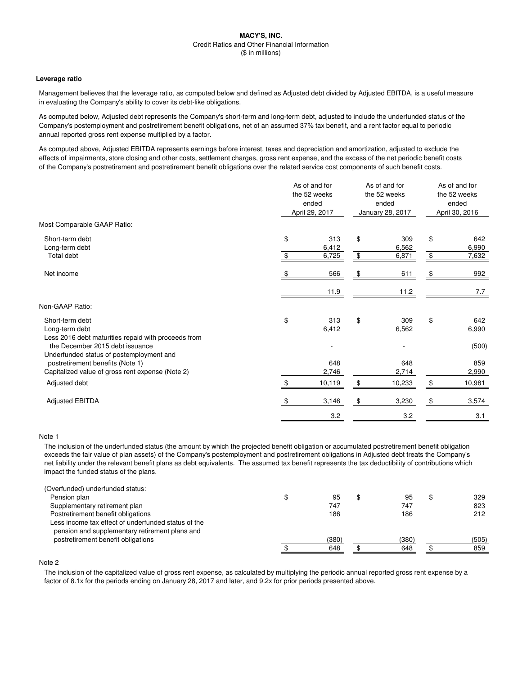### **Leverage ratio**

Management believes that the leverage ratio, as computed below and defined as Adjusted debt divided by Adjusted EBITDA, is a useful measure in evaluating the Company's ability to cover its debt-like obligations.

As computed below, Adjusted debt represents the Company's short-term and long-term debt, adjusted to include the underfunded status of the Company's postemployment and postretirement benefit obligations, net of an assumed 37% tax benefit, and a rent factor equal to periodic annual reported gross rent expense multiplied by a factor.

As computed above, Adjusted EBITDA represents earnings before interest, taxes and depreciation and amortization, adjusted to exclude the effects of impairments, store closing and other costs, settlement charges, gross rent expense, and the excess of the net periodic benefit costs of the Company's postretirement and postretirement benefit obligations over the related service cost components of such benefit costs.

|                                                                                                                                  | As of and for<br>the 52 weeks<br>ended<br>April 29, 2017 |                       | As of and for<br>the 52 weeks<br>ended<br>January 28, 2017 |                       | As of and for<br>the 52 weeks<br>ended<br>April 30, 2016 |                       |
|----------------------------------------------------------------------------------------------------------------------------------|----------------------------------------------------------|-----------------------|------------------------------------------------------------|-----------------------|----------------------------------------------------------|-----------------------|
| Most Comparable GAAP Ratio:                                                                                                      |                                                          |                       |                                                            |                       |                                                          |                       |
| Short-term debt<br>Long-term debt<br>Total debt                                                                                  | \$<br>\$                                                 | 313<br>6,412<br>6,725 | \$<br>\$                                                   | 309<br>6,562<br>6,871 | \$<br>\$                                                 | 642<br>6,990<br>7,632 |
| Net income                                                                                                                       |                                                          | 566                   | \$.                                                        | 611                   | \$                                                       | 992                   |
|                                                                                                                                  |                                                          | 11.9                  |                                                            | 11.2                  |                                                          | 7.7                   |
| Non-GAAP Ratio:                                                                                                                  |                                                          |                       |                                                            |                       |                                                          |                       |
| Short-term debt<br>Long-term debt<br>Less 2016 debt maturities repaid with proceeds from<br>the December 2015 debt issuance      | \$                                                       | 313<br>6,412          | \$                                                         | 309<br>6,562          | \$                                                       | 642<br>6,990<br>(500) |
| Underfunded status of postemployment and<br>postretirement benefits (Note 1)<br>Capitalized value of gross rent expense (Note 2) |                                                          | 648<br>2,746          |                                                            | 648<br>2,714          |                                                          | 859<br>2,990          |
| Adjusted debt                                                                                                                    | \$                                                       | 10,119                | \$                                                         | 10,233                | \$                                                       | 10,981                |
| <b>Adjusted EBITDA</b>                                                                                                           |                                                          | 3,146                 | \$.                                                        | 3,230                 | \$                                                       | 3,574                 |
|                                                                                                                                  |                                                          | 3.2                   |                                                            | 3.2                   |                                                          | 3.1                   |

#### Note 1

The inclusion of the underfunded status (the amount by which the projected benefit obligation or accumulated postretirement benefit obligation exceeds the fair value of plan assets) of the Company's postemployment and postretirement obligations in Adjusted debt treats the Company's net liability under the relevant benefit plans as debt equivalents. The assumed tax benefit represents the tax deductibility of contributions which impact the funded status of the plans.

| (Overfunded) underfunded status:                                                                      |       |       |       |
|-------------------------------------------------------------------------------------------------------|-------|-------|-------|
| Pension plan                                                                                          | 95    | 95    | 329   |
| Supplementary retirement plan                                                                         | 747   | 747   | 823   |
| Postretirement benefit obligations                                                                    | 186   | 186   | 212   |
| Less income tax effect of underfunded status of the<br>pension and supplementary retirement plans and |       |       |       |
| postretirement benefit obligations                                                                    | (380) | (380) | (505) |
|                                                                                                       | 648   | 648   | 859   |
|                                                                                                       |       |       |       |

# Note 2

The inclusion of the capitalized value of gross rent expense, as calculated by multiplying the periodic annual reported gross rent expense by a factor of 8.1x for the periods ending on January 28, 2017 and later, and 9.2x for prior periods presented above.